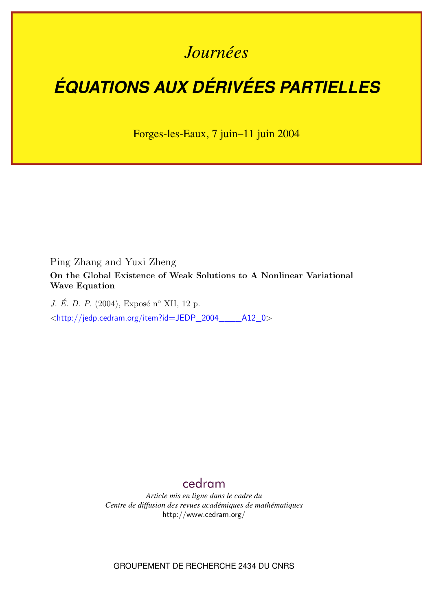## *Journées*

# *ÉQUATIONS AUX DÉRIVÉES PARTIELLES*

Forges-les-Eaux, 7 juin–11 juin 2004

Ping Zhang and Yuxi Zheng

**On the Global Existence of Weak Solutions to A Nonlinear Variational Wave Equation**

*J. É. D. P.* (2004), Exposé n<sup>o</sup> XII, 12 p. <[http://jedp.cedram.org/item?id=JEDP\\_2004\\_\\_\\_\\_A12\\_0](http://jedp.cedram.org/item?id=JEDP_2004____A12_0)>

### [cedram](http://www.cedram.org/)

*Article mis en ligne dans le cadre du Centre de diffusion des revues académiques de mathématiques* <http://www.cedram.org/>

GROUPEMENT DE RECHERCHE 2434 DU CNRS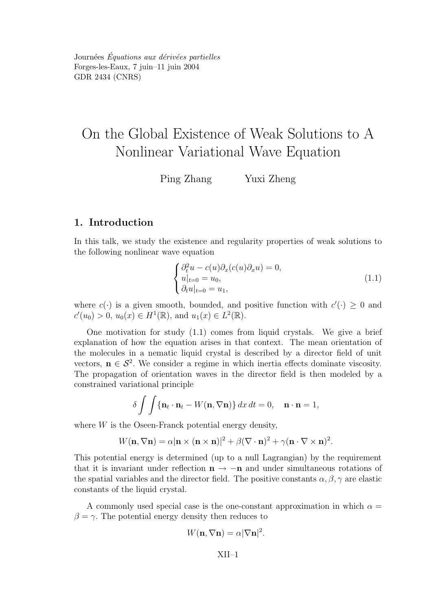## On the Global Existence of Weak Solutions to A Nonlinear Variational Wave Equation

Ping Zhang Yuxi Zheng

#### 1. Introduction

In this talk, we study the existence and regularity properties of weak solutions to the following nonlinear wave equation

$$
\begin{cases}\n\partial_t^2 u - c(u)\partial_x(c(u)\partial_x u) = 0, \\
u|_{t=0} = u_0, \\
\partial_t u|_{t=0} = u_1,\n\end{cases}
$$
\n(1.1)

where  $c(\cdot)$  is a given smooth, bounded, and positive function with  $c'(\cdot) \geq 0$  and  $c'(u_0) > 0$ ,  $u_0(x) \in H^1(\mathbb{R})$ , and  $u_1(x) \in L^2(\mathbb{R})$ .

One motivation for study (1.1) comes from liquid crystals. We give a brief explanation of how the equation arises in that context. The mean orientation of the molecules in a nematic liquid crystal is described by a director field of unit vectors,  $\mathbf{n} \in \mathcal{S}^2$ . We consider a regime in which inertia effects dominate viscosity. The propagation of orientation waves in the director field is then modeled by a constrained variational principle

$$
\delta \int \int {\mathbf{n}_t \cdot \mathbf{n}_t - W(\mathbf{n}, \nabla \mathbf{n})} \, dx \, dt = 0, \quad \mathbf{n} \cdot \mathbf{n} = 1,
$$

where  $W$  is the Oseen-Franck potential energy density,

$$
W(\mathbf{n}, \nabla \mathbf{n}) = \alpha |\mathbf{n} \times (\mathbf{n} \times \mathbf{n})|^2 + \beta (\nabla \cdot \mathbf{n})^2 + \gamma (\mathbf{n} \cdot \nabla \times \mathbf{n})^2.
$$

This potential energy is determined (up to a null Lagrangian) by the requirement that it is invariant under reflection  $n \to -n$  and under simultaneous rotations of the spatial variables and the director field. The positive constants  $\alpha, \beta, \gamma$  are elastic constants of the liquid crystal.

A commonly used special case is the one-constant approximation in which  $\alpha =$  $\beta = \gamma$ . The potential energy density then reduces to

$$
W(\mathbf{n}, \nabla \mathbf{n}) = \alpha |\nabla \mathbf{n}|^2.
$$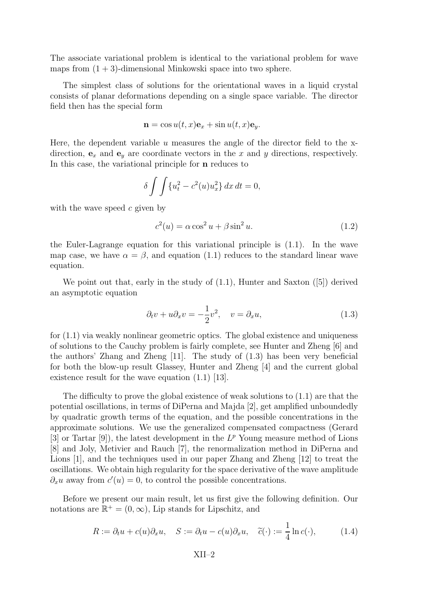The associate variational problem is identical to the variational problem for wave maps from  $(1 + 3)$ -dimensional Minkowski space into two sphere.

The simplest class of solutions for the orientational waves in a liquid crystal consists of planar deformations depending on a single space variable. The director field then has the special form

$$
\mathbf{n} = \cos u(t, x)\mathbf{e}_x + \sin u(t, x)\mathbf{e}_y.
$$

Here, the dependent variable  $u$  measures the angle of the director field to the xdirection,  $\mathbf{e}_x$  and  $\mathbf{e}_y$  are coordinate vectors in the x and y directions, respectively. In this case, the variational principle for n reduces to

$$
\delta \int \int \{u_t^2 - c^2(u)u_x^2\} dx dt = 0,
$$

with the wave speed  $c$  given by

$$
c^{2}(u) = \alpha \cos^{2} u + \beta \sin^{2} u.
$$
 (1.2)

the Euler-Lagrange equation for this variational principle is (1.1). In the wave map case, we have  $\alpha = \beta$ , and equation (1.1) reduces to the standard linear wave equation.

We point out that, early in the study of  $(1.1)$ , Hunter and Saxton  $(5)$  derived an asymptotic equation

$$
\partial_t v + u \partial_x v = -\frac{1}{2} v^2, \quad v = \partial_x u,\tag{1.3}
$$

for (1.1) via weakly nonlinear geometric optics. The global existence and uniqueness of solutions to the Cauchy problem is fairly complete, see Hunter and Zheng [6] and the authors' Zhang and Zheng [11]. The study of (1.3) has been very beneficial for both the blow-up result Glassey, Hunter and Zheng [4] and the current global existence result for the wave equation (1.1) [13].

The difficulty to prove the global existence of weak solutions to (1.1) are that the potential oscillations, in terms of DiPerna and Majda [2], get amplified unboundedly by quadratic growth terms of the equation, and the possible concentrations in the approximate solutions. We use the generalized compensated compactness (Gerard [3] or Tartar [9]), the latest development in the  $L^p$  Young measure method of Lions [8] and Joly, Metivier and Rauch [7], the renormalization method in DiPerna and Lions [1], and the techniques used in our paper Zhang and Zheng [12] to treat the oscillations. We obtain high regularity for the space derivative of the wave amplitude  $\partial_x u$  away from  $c'(u) = 0$ , to control the possible concentrations.

Before we present our main result, let us first give the following definition. Our notations are  $\mathbb{R}^+ = (0, \infty)$ , Lip stands for Lipschitz, and

$$
R := \partial_t u + c(u)\partial_x u, \quad S := \partial_t u - c(u)\partial_x u, \quad \tilde{c}(\cdot) := \frac{1}{4}\ln c(\cdot), \quad (1.4)
$$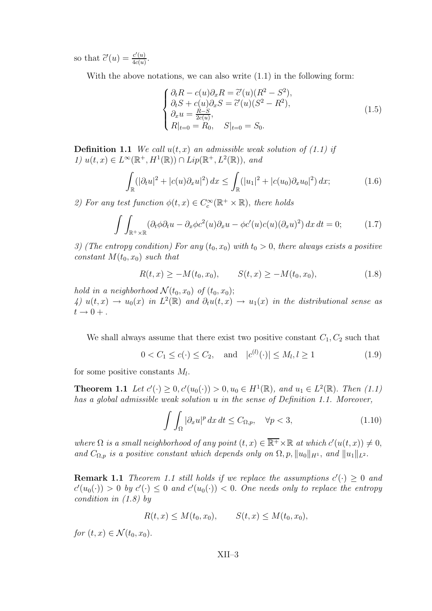so that  $\tilde{c}'(u) = \frac{c'(u)}{4c(u)}$  $rac{c(u)}{4c(u)}$ .

With the above notations, we can also write  $(1.1)$  in the following form:

$$
\begin{cases}\n\partial_t R - c(u)\partial_x R = \overline{c}'(u)(R^2 - S^2), \\
\partial_t S + c(u)\partial_x S = \overline{c}'(u)(S^2 - R^2), \\
\partial_x u = \frac{R - S}{2c(u)}, \\
R|_{t=0} = R_0, \quad S|_{t=0} = S_0.\n\end{cases}
$$
\n(1.5)

**Definition 1.1** We call  $u(t, x)$  an admissible weak solution of (1.1) if 1)  $u(t, x) \in L^{\infty}(\mathbb{R}^+, H^1(\mathbb{R})) \cap Lip(\mathbb{R}^+, L^2(\mathbb{R}))$ , and

$$
\int_{\mathbb{R}} (|\partial_t u|^2 + |c(u)\partial_x u|^2) \, dx \le \int_{\mathbb{R}} (|u_1|^2 + |c(u_0)\partial_x u_0|^2) \, dx; \tag{1.6}
$$

2) For any test function  $\phi(t, x) \in C_c^{\infty}(\mathbb{R}^+ \times \mathbb{R})$ , there holds

$$
\int \int_{\mathbb{R}^+ \times \mathbb{R}} (\partial_t \phi \partial_t u - \partial_x \phi c^2(u) \partial_x u - \phi c'(u) c(u) (\partial_x u)^2) dx dt = 0; \qquad (1.7)
$$

3) (The entropy condition) For any  $(t_0, x_0)$  with  $t_0 > 0$ , there always exists a positive constant  $M(t_0, x_0)$  such that

$$
R(t,x) \ge -M(t_0,x_0), \qquad S(t,x) \ge -M(t_0,x_0), \tag{1.8}
$$

hold in a neighborhood  $\mathcal{N}(t_0, x_0)$  of  $(t_0, x_0)$ ;

4)  $u(t,x) \to u_0(x)$  in  $L^2(\mathbb{R})$  and  $\partial_t u(t,x) \to u_1(x)$  in the distributional sense as  $t \rightarrow 0 +$ .

We shall always assume that there exist two positive constant  $C_1, C_2$  such that

$$
0 < C_1 \le c(\cdot) \le C_2
$$
, and  $|c^{(l)}(\cdot)| \le M_l, l \ge 1$  (1.9)

for some positive constants  $M_l$ .

**Theorem 1.1** Let  $c'(\cdot) \ge 0, c'(u_0(\cdot)) > 0, u_0 \in H^1(\mathbb{R}),$  and  $u_1 \in L^2(\mathbb{R})$ . Then  $(1.1)$ has a global admissible weak solution u in the sense of Definition 1.1. Moreover,

$$
\int \int_{\Omega} |\partial_x u|^p \, dx \, dt \le C_{\Omega, p}, \quad \forall p < 3,\tag{1.10}
$$

where  $\Omega$  is a small neighborhood of any point  $(t, x) \in \overline{\mathbb{R}^+} \times \mathbb{R}$  at which  $c'(u(t, x)) \neq 0$ , and  $C_{\Omega,p}$  is a positive constant which depends only on  $\Omega, p, ||u_0||_{H^1}$ , and  $||u_1||_{L^2}$ .

**Remark 1.1** Theorem 1.1 still holds if we replace the assumptions  $c'(\cdot) \geq 0$  and  $c'(u_0(\cdot)) > 0$  by  $c'(\cdot) \leq 0$  and  $c'(u_0(\cdot)) < 0$ . One needs only to replace the entropy condition in (1.8) by

$$
R(t, x) \le M(t_0, x_0), \qquad S(t, x) \le M(t_0, x_0),
$$

for  $(t, x) \in \mathcal{N}(t_0, x_0)$ .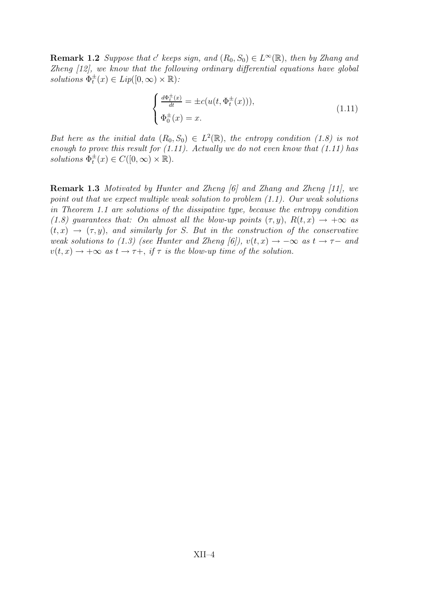**Remark 1.2** Suppose that c' keeps sign, and  $(R_0, S_0) \in L^{\infty}(\mathbb{R})$ , then by Zhang and Zheng [12], we know that the following ordinary differential equations have global solutions  $\Phi_t^{\pm}(x) \in Lip([0,\infty) \times \mathbb{R})$ :

$$
\begin{cases} \frac{d\Phi_t^{\pm}(x)}{dt} = \pm c(u(t, \Phi_t^{\pm}(x))),\\ \Phi_0^{\pm}(x) = x. \end{cases}
$$
\n(1.11)

But here as the initial data  $(R_0, S_0) \in L^2(\mathbb{R})$ , the entropy condition (1.8) is not enough to prove this result for  $(1.11)$ . Actually we do not even know that  $(1.11)$  has solutions  $\Phi_t^{\pm}(x) \in C([0,\infty) \times \mathbb{R})$ .

Remark 1.3 Motivated by Hunter and Zheng [6] and Zhang and Zheng [11], we point out that we expect multiple weak solution to problem (1.1). Our weak solutions in Theorem 1.1 are solutions of the dissipative type, because the entropy condition (1.8) guarantees that: On almost all the blow-up points  $(\tau, y)$ ,  $R(t, x) \rightarrow +\infty$  as  $(t, x) \rightarrow (\tau, y)$ , and similarly for S. But in the construction of the conservative weak solutions to (1.3) (see Hunter and Zheng [6]),  $v(t, x) \rightarrow -\infty$  as  $t \rightarrow \tau-$  and  $v(t, x) \rightarrow +\infty$  as  $t \rightarrow \tau +$ , if  $\tau$  is the blow-up time of the solution.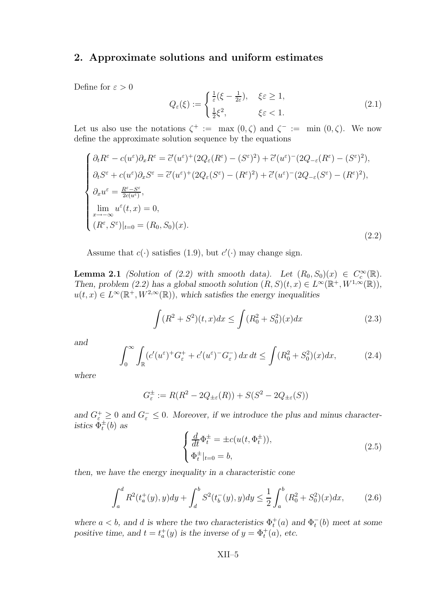#### 2. Approximate solutions and uniform estimates

Define for  $\varepsilon > 0$ 

$$
Q_{\varepsilon}(\xi) := \begin{cases} \frac{1}{\varepsilon} (\xi - \frac{1}{2\varepsilon}), & \xi \varepsilon \ge 1, \\ \frac{1}{2} \xi^2, & \xi \varepsilon < 1. \end{cases}
$$
(2.1)

Let us also use the notations  $\zeta^+ := \max(0, \zeta)$  and  $\zeta^- := \min(0, \zeta)$ . We now define the approximate solution sequence by the equations

$$
\begin{cases}\n\partial_t R^{\varepsilon} - c(u^{\varepsilon}) \partial_x R^{\varepsilon} = \tilde{c}'(u^{\varepsilon}) + (2Q_{\varepsilon}(R^{\varepsilon}) - (S^{\varepsilon})^2) + \tilde{c}'(u^{\varepsilon}) - (2Q_{-\varepsilon}(R^{\varepsilon}) - (S^{\varepsilon})^2), \\
\partial_t S^{\varepsilon} + c(u^{\varepsilon}) \partial_x S^{\varepsilon} = \tilde{c}'(u^{\varepsilon}) + (2Q_{\varepsilon}(S^{\varepsilon}) - (R^{\varepsilon})^2) + \tilde{c}'(u^{\varepsilon}) - (2Q_{-\varepsilon}(S^{\varepsilon}) - (R^{\varepsilon})^2), \\
\partial_x u^{\varepsilon} = \frac{R^{\varepsilon} - S^{\varepsilon}}{2c(u^{\varepsilon})}, \\
\lim_{x \to -\infty} u^{\varepsilon}(t, x) = 0, \\
(R^{\varepsilon}, S^{\varepsilon})|_{t=0} = (R_0, S_0)(x).\n\end{cases} (2.2)
$$

Assume that  $c(\cdot)$  satisfies (1.9), but  $c'(\cdot)$  may change sign.

**Lemma 2.1** (Solution of (2.2) with smooth data). Let  $(R_0, S_0)(x) \in C_c^{\infty}(\mathbb{R})$ . Then, problem  $(2.2)$  has a global smooth solution  $(R, S)(t, x) \in L^{\infty}(\mathbb{R}^+, W^{1,\infty}(\mathbb{R}))$ ,  $u(t, x) \in L^{\infty}(\mathbb{R}^+, W^{2,\infty}(\mathbb{R}))$ , which satisfies the energy inequalities

$$
\int (R^2 + S^2)(t, x)dx \le \int (R_0^2 + S_0^2)(x)dx \tag{2.3}
$$

and

$$
\int_0^\infty \int_{\mathbb{R}} (c'(u^\varepsilon)^+ G_\varepsilon^+ + c'(u^\varepsilon)^- G_\varepsilon^-) \, dx \, dt \le \int (R_0^2 + S_0^2)(x) dx,\tag{2.4}
$$

where

$$
G_{\varepsilon}^{\pm} := R(R^2 - 2Q_{\pm \varepsilon}(R)) + S(S^2 - 2Q_{\pm \varepsilon}(S))
$$

and  $G_{\varepsilon}^+ \geq 0$  and  $G_{\varepsilon}^- \leq 0$ . Moreover, if we introduce the plus and minus characteristics  $\Phi_t^{\pm}(b)$  as

$$
\begin{cases} \frac{d}{dt}\Phi_t^{\pm} = \pm c(u(t, \Phi_t^{\pm})),\\ \Phi_t^{\pm}|_{t=0} = b, \end{cases}
$$
\n(2.5)

then, we have the energy inequality in a characteristic cone

$$
\int_{a}^{d} R^{2}(t_{a}^{+}(y), y) dy + \int_{d}^{b} S^{2}(t_{b}^{-}(y), y) dy \leq \frac{1}{2} \int_{a}^{b} (R_{0}^{2} + S_{0}^{2})(x) dx, \qquad (2.6)
$$

where  $a < b$ , and d is where the two characteristics  $\Phi_t^+(a)$  and  $\Phi_t^-(b)$  meet at some positive time, and  $t = t_a^+(y)$  is the inverse of  $y = \Phi_t^+(a)$ , etc.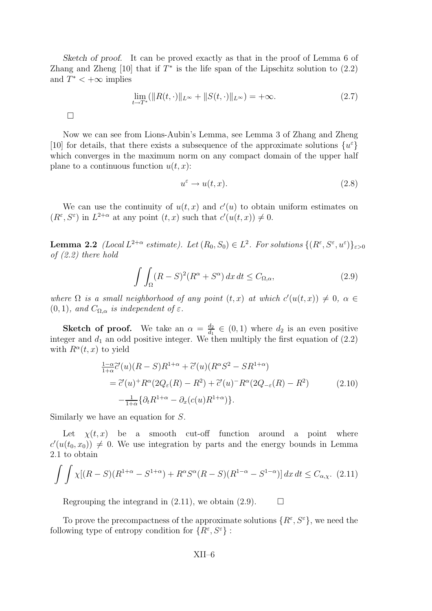Sketch of proof. It can be proved exactly as that in the proof of Lemma 6 of Zhang and Zheng  $[10]$  that if  $T^*$  is the life span of the Lipschitz solution to  $(2.2)$ and  $T^* < +\infty$  implies

$$
\lim_{t \to T^*} (\|R(t, \cdot)\|_{L^\infty} + \|S(t, \cdot)\|_{L^\infty}) = +\infty.
$$
\n(2.7)

 $\Box$ 

Now we can see from Lions-Aubin's Lemma, see Lemma 3 of Zhang and Zheng [10] for details, that there exists a subsequence of the approximate solutions  $\{u^{\varepsilon}\}$ which converges in the maximum norm on any compact domain of the upper half plane to a continuous function  $u(t, x)$ :

$$
u^{\varepsilon} \to u(t, x). \tag{2.8}
$$

We can use the continuity of  $u(t, x)$  and  $c'(u)$  to obtain uniform estimates on  $(R^{\varepsilon}, S^{\varepsilon})$  in  $L^{2+\alpha}$  at any point  $(t, x)$  such that  $c'(u(t, x)) \neq 0$ .

**Lemma 2.2** (Local  $L^{2+\alpha}$  estimate). Let  $(R_0, S_0) \in L^2$ . For solutions  $\{(R^{\varepsilon}, S^{\varepsilon}, u^{\varepsilon})\}_{\varepsilon>0}$ of (2.2) there hold

$$
\int \int_{\Omega} (R - S)^2 (R^{\alpha} + S^{\alpha}) dx dt \le C_{\Omega, \alpha}, \tag{2.9}
$$

where  $\Omega$  is a small neighborhood of any point  $(t, x)$  at which  $c'(u(t, x)) \neq 0$ ,  $\alpha \in$  $(0, 1)$ , and  $C_{\Omega, \alpha}$  is independent of  $\varepsilon$ .

**Sketch of proof.** We take an  $\alpha = \frac{d_2}{d_1}$  $\frac{d_2}{d_1} \in (0, 1)$  where  $d_2$  is an even positive integer and  $d_1$  an odd positive integer. We then multiply the first equation of  $(2.2)$ with  $R^{\alpha}(t, x)$  to yield

$$
\frac{1-\alpha}{1+\alpha}\tilde{c}'(u)(R-S)R^{1+\alpha} + \tilde{c}'(u)(R^{\alpha}S^2 - SR^{1+\alpha})
$$
  
=  $\tilde{c}'(u)^+ R^{\alpha} (2Q_{\varepsilon}(R) - R^2) + \tilde{c}'(u)^- R^{\alpha} (2Q_{-\varepsilon}(R) - R^2)$  (2.10)  
 $-\frac{1}{1+\alpha} {\partial_t R^{1+\alpha} - \partial_x (c(u)R^{1+\alpha}) }.$ 

Similarly we have an equation for S.

Let  $\chi(t, x)$  be a smooth cut-off function around a point where  $c'(u(t_0, x_0)) \neq 0$ . We use integration by parts and the energy bounds in Lemma 2.1 to obtain

$$
\int \int \chi[(R-S)(R^{1+\alpha} - S^{1+\alpha}) + R^{\alpha}S^{\alpha}(R-S)(R^{1-\alpha} - S^{1-\alpha})] dx dt \le C_{\alpha,\chi}.
$$
 (2.11)

Regrouping the integrand in  $(2.11)$ , we obtain  $(2.9)$ .  $\Box$ 

To prove the precompactness of the approximate solutions  $\{R^{\varepsilon}, S^{\varepsilon}\}\,$ , we need the following type of entropy condition for  $\{R^{\varepsilon}, S^{\varepsilon}\}$ :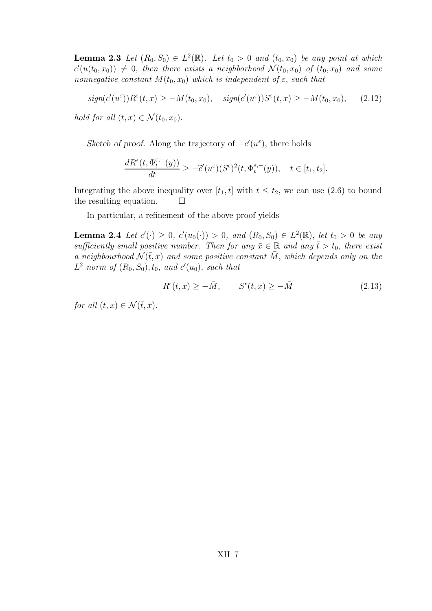**Lemma 2.3** Let  $(R_0, S_0) \in L^2(\mathbb{R})$ . Let  $t_0 > 0$  and  $(t_0, x_0)$  be any point at which  $c'(u(t_0, x_0)) \neq 0$ , then there exists a neighborhood  $\mathcal{N}(t_0, x_0)$  of  $(t_0, x_0)$  and some nonnegative constant  $M(t_0, x_0)$  which is independent of  $\varepsilon$ , such that

$$
sign(c'(u^{\varepsilon}))R^{\varepsilon}(t,x) \ge -M(t_0,x_0), \quad sign(c'(u^{\varepsilon}))S^{\varepsilon}(t,x) \ge -M(t_0,x_0), \quad (2.12)
$$

hold for all  $(t, x) \in \mathcal{N}(t_0, x_0)$ .

Sketch of proof. Along the trajectory of  $-c'(u^{\varepsilon})$ , there holds

$$
\frac{dR^{\varepsilon}(t,\Phi_t^{\varepsilon,-}(y))}{dt}\geq -\tilde{c}'(u^{\varepsilon})(S^{\varepsilon})^2(t,\Phi_t^{\varepsilon,-}(y)),\quad t\in[t_1,t_2].
$$

Integrating the above inequality over  $[t_1, t]$  with  $t \le t_2$ , we can use (2.6) to bound the resulting equation. the resulting equation.

In particular, a refinement of the above proof yields

**Lemma 2.4** Let  $c'(\cdot) \geq 0$ ,  $c'(u_0(\cdot)) > 0$ , and  $(R_0, S_0) \in L^2(\mathbb{R})$ , let  $t_0 > 0$  be any sufficiently small positive number. Then for any  $\bar{x} \in \mathbb{R}$  and any  $\bar{t} > t_0$ , there exist a neighbourhood  $\mathcal{N}(\bar{t},\bar{x})$  and some positive constant  $\bar{M}$ , which depends only on the  $L^2$  norm of  $(R_0, S_0), t_0$ , and  $c'(u_0)$ , such that

$$
R^{\epsilon}(t,x) \ge -\bar{M}, \qquad S^{\epsilon}(t,x) \ge -\bar{M} \tag{2.13}
$$

for all  $(t, x) \in \mathcal{N}(\bar{t}, \bar{x}).$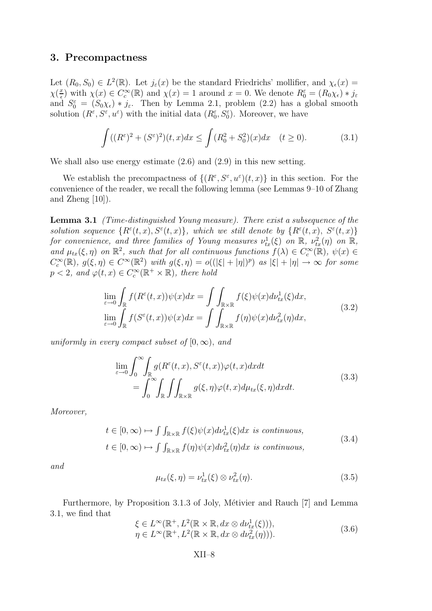#### 3. Precompactness

Let  $(R_0, S_0) \in L^2(\mathbb{R})$ . Let  $j_{\varepsilon}(x)$  be the standard Friedrichs' mollifier, and  $\chi_{\varepsilon}(x) =$  $\chi(\frac{x}{\epsilon})$  $(\frac{x}{\epsilon})$  with  $\chi(x) \in C_c^{\infty}(\mathbb{R})$  and  $\chi(x) = 1$  around  $x = 0$ . We denote  $R_0^{\varepsilon} = (R_0 \chi_{\varepsilon}) * j_{\varepsilon}$ and  $S_0^{\varepsilon} = (S_0 \chi_{\varepsilon}) * j_{\varepsilon}$ . Then by Lemma 2.1, problem (2.2) has a global smooth solution  $(R^{\varepsilon}, S^{\varepsilon}, u^{\varepsilon})$  with the initial data  $(R_0^{\varepsilon}, S_0^{\varepsilon})$ . Moreover, we have

$$
\int ((R^{\varepsilon})^2 + (S^{\varepsilon})^2)(t, x)dx \le \int (R_0^2 + S_0^2)(x)dx \quad (t \ge 0).
$$
 (3.1)

We shall also use energy estimate (2.6) and (2.9) in this new setting.

We establish the precompactness of  $\{(R^{\varepsilon}, S^{\varepsilon}, u^{\varepsilon})(t, x)\}\$  in this section. For the convenience of the reader, we recall the following lemma (see Lemmas 9–10 of Zhang and Zheng [10]).

Lemma 3.1 (Time-distinguished Young measure). There exist a subsequence of the solution sequence  $\{R^{\varepsilon}(t,x), S^{\varepsilon}(t,x)\},\$  which we still denote by  $\{R^{\varepsilon}(t,x), S^{\varepsilon}(t,x)\}$ for convenience, and three families of Young measures  $\nu^1_{tx}(\xi)$  on  $\mathbb R$ ,  $\nu^2_{tx}(\eta)$  on  $\mathbb R$ , and  $\mu_{tx}(\xi, \eta)$  on  $\mathbb{R}^2$ , such that for all continuous functions  $f(\lambda) \in C_c^{\infty}(\mathbb{R})$ ,  $\psi(x) \in$  $C_c^{\infty}(\mathbb{R}), g(\xi, \eta) \in C^{\infty}(\mathbb{R}^2)$  with  $g(\xi, \eta) = o((|\xi| + |\eta|)^p)$  as  $|\xi| + |\eta| \to \infty$  for some  $p < 2$ , and  $\varphi(t, x) \in C_c^{\infty}(\mathbb{R}^+ \times \mathbb{R})$ , there hold

$$
\lim_{\varepsilon \to 0} \int_{\mathbb{R}} f(R^{\varepsilon}(t,x))\psi(x)dx = \int \int_{\mathbb{R} \times \mathbb{R}} f(\xi)\psi(x)d\nu_{tx}^{1}(\xi)dx,
$$
\n
$$
\lim_{\varepsilon \to 0} \int_{\mathbb{R}} f(S^{\varepsilon}(t,x))\psi(x)dx = \int \int_{\mathbb{R} \times \mathbb{R}} f(\eta)\psi(x)d\nu_{tx}^{2}(\eta)dx,
$$
\n(3.2)

uniformly in every compact subset of  $[0, \infty)$ , and

$$
\lim_{\varepsilon \to 0} \int_0^\infty \int_{\mathbb{R}} g(R^{\varepsilon}(t, x), S^{\varepsilon}(t, x)) \varphi(t, x) dx dt
$$
\n
$$
= \int_0^\infty \int_{\mathbb{R}} \int \int_{\mathbb{R} \times \mathbb{R}} g(\xi, \eta) \varphi(t, x) d\mu_{tx}(\xi, \eta) dx dt.
$$
\n(3.3)

Moreover,

$$
t \in [0, \infty) \mapsto \int \int_{\mathbb{R} \times \mathbb{R}} f(\xi) \psi(x) d\nu_{tx}^{1}(\xi) dx \text{ is continuous,}
$$
  

$$
t \in [0, \infty) \mapsto \int \int_{\mathbb{R} \times \mathbb{R}} f(\eta) \psi(x) d\nu_{tx}^{2}(\eta) dx \text{ is continuous,}
$$
 (3.4)

and

$$
\mu_{tx}(\xi,\eta) = \nu_{tx}^1(\xi) \otimes \nu_{tx}^2(\eta). \tag{3.5}
$$

Furthermore, by Proposition 3.1.3 of Joly, Métivier and Rauch [7] and Lemma 3.1, we find that

$$
\xi \in L^{\infty}(\mathbb{R}^+, L^2(\mathbb{R} \times \mathbb{R}, dx \otimes d\nu_{tx}^1(\xi))),
$$
  
\n
$$
\eta \in L^{\infty}(\mathbb{R}^+, L^2(\mathbb{R} \times \mathbb{R}, dx \otimes d\nu_{tx}^2(\eta))).
$$
\n(3.6)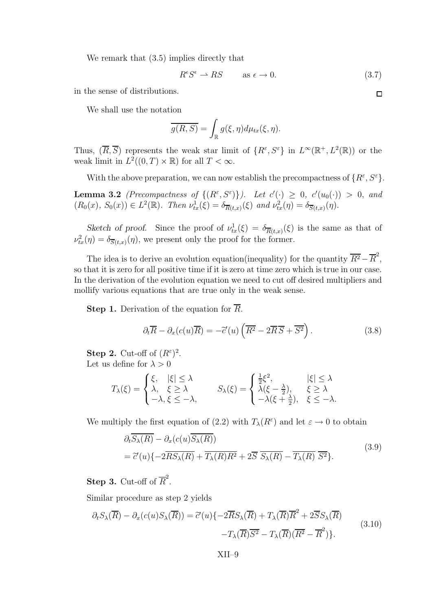We remark that (3.5) implies directly that

$$
R^{\epsilon}S^{\epsilon} \to RS \qquad \text{as } \epsilon \to 0. \tag{3.7}
$$

in the sense of distributions.

We shall use the notation

$$
\overline{g(R,S)} = \int_{\mathbb{R}} g(\xi, \eta) d\mu_{tx}(\xi, \eta).
$$

Thus,  $(\overline{R}, \overline{S})$  represents the weak star limit of  $\{R^{\varepsilon}, S^{\varepsilon}\}\$ in  $L^{\infty}(\mathbb{R}^{+}, L^{2}(\mathbb{R}))$  or the weak limit in  $L^2((0,T)\times\mathbb{R})$  for all  $T<\infty$ .

With the above preparation, we can now establish the precompactness of  $\{R^{\varepsilon}, S^{\varepsilon}\}.$ 

**Lemma 3.2** (Precompactness of  $\{(R^{\varepsilon}, S^{\varepsilon})\}\)$ . Let  $c'(\cdot) \geq 0$ ,  $c'(u_0(\cdot)) > 0$ , and  $(R_0(x), S_0(x)) \in L^2(\mathbb{R})$ . Then  $\nu^1_{tx}(\xi) = \delta_{\overline{R}(t,x)}(\xi)$  and  $\nu^2_{tx}(\eta) = \delta_{\overline{S}(t,x)}(\eta)$ .

Sketch of proof. Since the proof of  $\nu_{tx}^1(\xi) = \delta_{\overline{R}(t,x)}(\xi)$  is the same as that of  $\nu^2_{tx}(\eta) = \delta_{\overline{S}(t,x)}(\eta)$ , we present only the proof for the former.

The idea is to derive an evolution equation(inequality) for the quantity  $\overline{R^2} - \overline{R}^2$ , so that it is zero for all positive time if it is zero at time zero which is true in our case. In the derivation of the evolution equation we need to cut off desired multipliers and mollify various equations that are true only in the weak sense.

**Step 1.** Derivation of the equation for  $\overline{R}$ .

$$
\partial_t \overline{R} - \partial_x (c(u) \overline{R}) = -\tilde{c}'(u) \left( \overline{R^2} - 2\overline{R} \overline{S} + \overline{S^2} \right).
$$
 (3.8)

**Step 2.** Cut-off of  $(R^{\varepsilon})^2$ . Let us define for  $\lambda > 0$ 

$$
T_{\lambda}(\xi) = \begin{cases} \xi, & |\xi| \leq \lambda \\ \lambda, & \xi \geq \lambda \\ -\lambda, & \xi \leq -\lambda, \end{cases} \qquad S_{\lambda}(\xi) = \begin{cases} \frac{1}{2}\xi^{2}, & |\xi| \leq \lambda \\ \lambda(\xi - \frac{\lambda}{2}), & \xi \geq \lambda \\ -\lambda(\xi + \frac{\lambda}{2}), & \xi \leq -\lambda. \end{cases}
$$

We multiply the first equation of (2.2) with  $T_{\lambda}(R^{\varepsilon})$  and let  $\varepsilon \to 0$  to obtain

$$
\partial_t \overline{S_\lambda(R)} - \partial_x (c(u) \overline{S_\lambda(R)})
$$
  
=  $\overline{c'}(u) \{-2\overline{RS_\lambda(R)} + \overline{T_\lambda(R)R^2} + 2\overline{S} \overline{S_\lambda(R)} - \overline{T_\lambda(R)} \overline{S^2} \}.$  (3.9)

**Step 3.** Cut-off of  $\overline{R}^2$ .

Similar procedure as step 2 yields

$$
\partial_t S_\lambda(\overline{R}) - \partial_x (c(u) S_\lambda(\overline{R})) = \tilde{c}'(u) \{-2\overline{R} S_\lambda(\overline{R}) + T_\lambda(\overline{R}) \overline{R}^2 + 2\overline{S} S_\lambda(\overline{R}) - T_\lambda(\overline{R}) \overline{S}^2 - T_\lambda(\overline{R}) (\overline{R}^2 - \overline{R}^2) \}.
$$
\n(3.10)

 $\Box$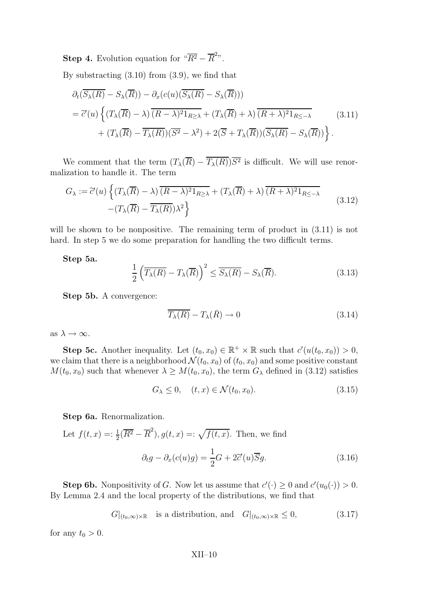**Step 4.** Evolution equation for  $\sqrt[n]{R^2} - \overline{R}^{2n}$ .

By substracting  $(3.10)$  from  $(3.9)$ , we find that

$$
\partial_t (\overline{S_\lambda(R)} - S_\lambda(\overline{R})) - \partial_x (c(u)(\overline{S_\lambda(R)} - S_\lambda(\overline{R})))
$$
  
=  $\tilde{c}'(u) \left\{ (T_\lambda(\overline{R}) - \lambda) \overline{(R - \lambda)^2 1_{R \ge \lambda}} + (T_\lambda(\overline{R}) + \lambda) \overline{(R + \lambda)^2 1_{R \le -\lambda}}$  (3.11)  
+  $(T_\lambda(\overline{R}) - \overline{T_\lambda(R)}) (\overline{S^2} - \lambda^2) + 2(\overline{S} + T_\lambda(\overline{R})) (\overline{S_\lambda(R)} - S_\lambda(\overline{R})) \right\}.$ 

We comment that the term  $(T_{\lambda}(R) - T_{\lambda}(R))S^2$  is difficult. We will use renormalization to handle it. The term

$$
G_{\lambda} := \tilde{c}'(u) \left\{ (T_{\lambda}(\overline{R}) - \lambda) \overline{(R - \lambda)^2 1_{R \ge \lambda}} + (T_{\lambda}(\overline{R}) + \lambda) \overline{(R + \lambda)^2 1_{R \le -\lambda}} - (T_{\lambda}(\overline{R}) - \overline{T_{\lambda}(R)}) \lambda^2 \right\}
$$
\n(3.12)

will be shown to be nonpositive. The remaining term of product in  $(3.11)$  is not hard. In step 5 we do some preparation for handling the two difficult terms.

Step 5a.

$$
\frac{1}{2}\left(\overline{T_{\lambda}(R)} - T_{\lambda}(\overline{R})\right)^2 \le \overline{S_{\lambda}(R)} - S_{\lambda}(\overline{R}).\tag{3.13}
$$

Step 5b. A convergence:

$$
\overline{T_{\lambda}(R)} - T_{\lambda}(\bar{R}) \to 0 \tag{3.14}
$$

as  $\lambda \to \infty$ .

**Step 5c.** Another inequality. Let  $(t_0, x_0) \in \mathbb{R}^+ \times \mathbb{R}$  such that  $c'(u(t_0, x_0)) > 0$ , we claim that there is a neighborhood  $\mathcal{N}(t_0, x_0)$  of  $(t_0, x_0)$  and some positive constant  $M(t_0, x_0)$  such that whenever  $\lambda \geq M(t_0, x_0)$ , the term  $G_{\lambda}$  defined in (3.12) satisfies

$$
G_{\lambda} \leq 0, \quad (t, x) \in \mathcal{N}(t_0, x_0). \tag{3.15}
$$

Step 6a. Renormalization.

Let 
$$
f(t, x) =: \frac{1}{2}(\overline{R^2} - \overline{R}^2), g(t, x) =: \sqrt{f(t, x)}.
$$
 Then, we find  
\n
$$
\partial_t g - \partial_x(c(u)g) = \frac{1}{2}G + 2\tilde{c}'(u)\overline{S}g.
$$
\n(3.16)

**Step 6b.** Nonpositivity of G. Now let us assume that  $c'(\cdot) \geq 0$  and  $c'(u_0(\cdot)) > 0$ . By Lemma 2.4 and the local property of the distributions, we find that

$$
G|_{(t_0,\infty)\times\mathbb{R}}
$$
 is a distribution, and  $G|_{(t_0,\infty)\times\mathbb{R}} \leq 0,$  (3.17)

for any  $t_0 > 0$ .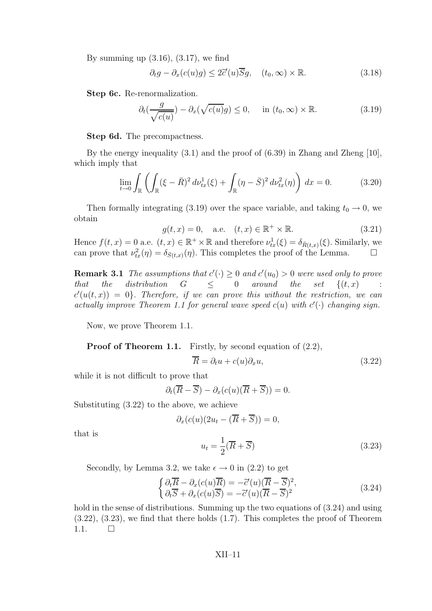By summing up  $(3.16)$ ,  $(3.17)$ , we find

$$
\partial_t g - \partial_x (c(u)g) \le 2\tilde{c}'(u)\overline{S}g, \quad (t_0, \infty) \times \mathbb{R}.
$$
 (3.18)

Step 6c. Re-renormalization.

$$
\partial_t \left( \frac{g}{\sqrt{c(u)}} \right) - \partial_x \left( \sqrt{c(u)} g \right) \le 0, \quad \text{in } (t_0, \infty) \times \mathbb{R}.
$$
 (3.19)

Step 6d. The precompactness.

By the energy inequality (3.1) and the proof of (6.39) in Zhang and Zheng [10], which imply that

$$
\lim_{t \to 0} \int_{\mathbb{R}} \left( \int_{\mathbb{R}} (\xi - \bar{R})^2 d\nu_{tx}^1(\xi) + \int_{\mathbb{R}} (\eta - \bar{S})^2 d\nu_{tx}^2(\eta) \right) dx = 0.
$$
 (3.20)

Then formally integrating (3.19) over the space variable, and taking  $t_0 \rightarrow 0$ , we obtain

$$
g(t, x) = 0
$$
, a.e.  $(t, x) \in \mathbb{R}^+ \times \mathbb{R}$ . (3.21)

Hence  $f(t, x) = 0$  a.e.  $(t, x) \in \mathbb{R}^+ \times \mathbb{R}$  and therefore  $\nu_{tx}^1(\xi) = \delta_{\bar{R}(t, x)}(\xi)$ . Similarly, we can prove that  $\nu_{tx}^2(\eta) = \delta_{\bar{S}(t,x)}(\eta)$ . This completes the proof of the Lemma.

**Remark 3.1** The assumptions that  $c'(\cdot) \geq 0$  and  $c'(u_0) > 0$  were used only to prove that the distribution  $G \leq 0$  around the set  $\{(t,x) :$  $c'(u(t,x)) = 0$ . Therefore, if we can prove this without the restriction, we can actually improve Theorem 1.1 for general wave speed  $c(u)$  with  $c'(\cdot)$  changing sign.

Now, we prove Theorem 1.1.

Proof of Theorem 1.1. Firstly, by second equation of  $(2.2)$ ,

$$
\overline{R} = \partial_t u + c(u)\partial_x u,\tag{3.22}
$$

while it is not difficult to prove that

$$
\partial_t(\overline{R}-\overline{S}) - \partial_x(c(u)(\overline{R}+\overline{S})) = 0.
$$

Substituting (3.22) to the above, we achieve

$$
\partial_x(c(u)(2u_t - (\overline{R} + \overline{S})) = 0,
$$

that is

$$
u_t = \frac{1}{2}(\overline{R} + \overline{S})\tag{3.23}
$$

Secondly, by Lemma 3.2, we take  $\epsilon \to 0$  in (2.2) to get

$$
\begin{cases}\n\partial_t \overline{R} - \partial_x (c(u) \overline{R}) = -\overline{c}'(u) (\overline{R} - \overline{S})^2, \\
\partial_t \overline{S} + \partial_x (c(u) \overline{S}) = -\overline{c}'(u) (\overline{R} - \overline{S})^2\n\end{cases}
$$
\n(3.24)

hold in the sense of distributions. Summing up the two equations of  $(3.24)$  and using (3.22), (3.23), we find that there holds (1.7). This completes the proof of Theorem  $1.1.$   $\Box$